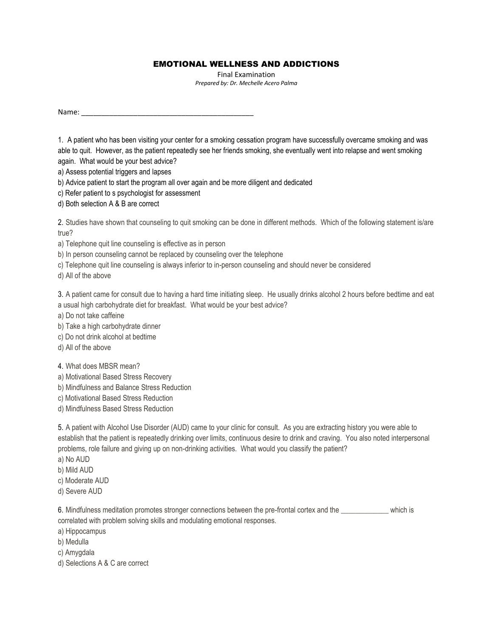## EMOTIONAL WELLNESS AND ADDICTIONS

Final Examination *Prepared by: Dr. Mechelle Acero Palma* 

Name:

1. A patient who has been visiting your center for a smoking cessation program have successfully overcame smoking and was able to quit. However, as the patient repeatedly see her friends smoking, she eventually went into relapse and went smoking again. What would be your best advice?

a) Assess potential triggers and lapses

b) Advice patient to start the program all over again and be more diligent and dedicated

c) Refer patient to s psychologist for assessment

d) Both selection A & B are correct

2. Studies have shown that counseling to quit smoking can be done in different methods. Which of the following statement is/are true?

a) Telephone quit line counseling is effective as in person

b) In person counseling cannot be replaced by counseling over the telephone

c) Telephone quit line counseling is always inferior to in-person counseling and should never be considered

d) All of the above

3. A patient came for consult due to having a hard time initiating sleep. He usually drinks alcohol 2 hours before bedtime and eat a usual high carbohydrate diet for breakfast. What would be your best advice?

a) Do not take caffeine

b) Take a high carbohydrate dinner

c) Do not drink alcohol at bedtime

d) All of the above

4. What does MBSR mean?

a) Motivational Based Stress Recovery

b) Mindfulness and Balance Stress Reduction

c) Motivational Based Stress Reduction

d) Mindfulness Based Stress Reduction

5. A patient with Alcohol Use Disorder (AUD) came to your clinic for consult. As you are extracting history you were able to establish that the patient is repeatedly drinking over limits, continuous desire to drink and craving. You also noted interpersonal problems, role failure and giving up on non-drinking activities. What would you classify the patient?

a) No AUD

b) Mild AUD

c) Moderate AUD

d) Severe AUD

6. Mindfulness meditation promotes stronger connections between the pre-frontal cortex and the \_\_\_\_\_\_\_\_\_\_\_\_\_ which is correlated with problem solving skills and modulating emotional responses.

a) Hippocampus

b) Medulla

c) Amygdala

d) Selections A & C are correct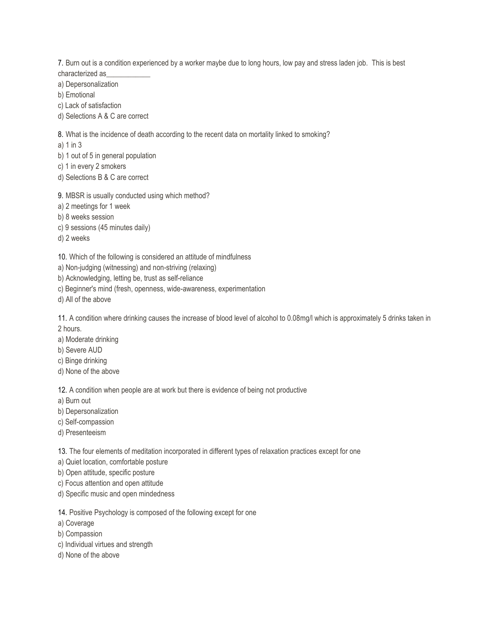7. Burn out is a condition experienced by a worker maybe due to long hours, low pay and stress laden job. This is best characterized as\_\_\_\_\_\_\_\_\_\_\_\_

a) Depersonalization

b) Emotional

c) Lack of satisfaction

d) Selections A & C are correct

8. What is the incidence of death according to the recent data on mortality linked to smoking?

a) 1 in 3

b) 1 out of 5 in general population

c) 1 in every 2 smokers

d) Selections B & C are correct

9. MBSR is usually conducted using which method?

a) 2 meetings for 1 week

b) 8 weeks session

c) 9 sessions (45 minutes daily)

d) 2 weeks

10. Which of the following is considered an attitude of mindfulness

a) Non-judging (witnessing) and non-striving (relaxing)

b) Acknowledging, letting be, trust as self-reliance

c) Beginner's mind (fresh, openness, wide-awareness, experimentation

d) All of the above

11. A condition where drinking causes the increase of blood level of alcohol to 0.08mg/l which is approximately 5 drinks taken in 2 hours.

a) Moderate drinking

b) Severe AUD

c) Binge drinking

d) None of the above

12. A condition when people are at work but there is evidence of being not productive

a) Burn out

b) Depersonalization

c) Self-compassion

d) Presenteeism

13. The four elements of meditation incorporated in different types of relaxation practices except for one

a) Quiet location, comfortable posture

b) Open attitude, specific posture

c) Focus attention and open attitude

d) Specific music and open mindedness

14. Positive Psychology is composed of the following except for one

a) Coverage

b) Compassion

- c) Individual virtues and strength
- d) None of the above